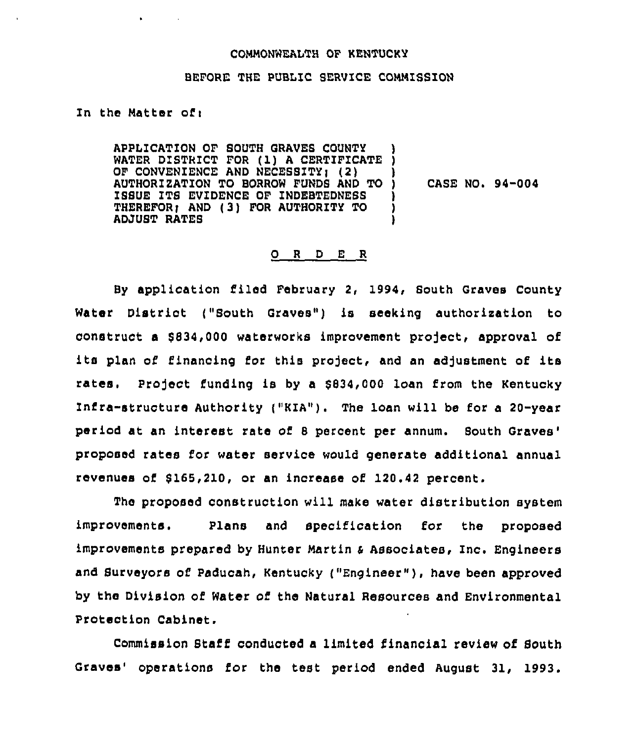#### COHHONWEALTH OF KENTUCKY

#### BEFORE THE PUBLIC SERVICE COMMISSION

## In the Matter of:

 $\mathbf{A}^{(1)}$  and  $\mathbf{A}^{(2)}$ 

APPLICATION OF SOUTH GRAVES COUNTY APPLICATION OF SOUTH GRAVES COUNTY )<br>WATER DISTRICT FOR (1) A CERTIFICATE )<br>A CONHENTENCE 1NR NEARGERY 18 OF CONVENIENCE AND NECESSITY) (2) AUTHORIZATION TO BORROW FUNDS AND TO ISSUE ITS EVIDENCE OF ZNDEBTEDNESS THEREFOR; AND (3) FOR AUTHORITY TO ADJUST RATEB )  $\lambda$ CASE NO. 94-004 )<br>)

### 0 <sup>R</sup> <sup>D</sup> <sup>E</sup> <sup>R</sup>

By application filed February 2, 1994, South Graves County Water District ("South Graves") is seeking authorization to construct a \$834,000 waterworks improvement project, approval of its plan of financing for this project, and an adjustment of its rates. Project funding is by a \$834,000 loan from the Kentucky Infra-structure Authority ("KIA"). The loan will be for a 20-year period at an interest rate of 8 percent per annum. Bouth proposed rates for water service would generate additional annual revenues oi 8165,210, or an increase of 120.42 percent.

The proposed construction will make water distribution system improvements. Plans and specification for the proposed improvements prepared by Hunter Hartin <sup>4</sup> Associates, Inc. Engineers and Surveyors of paducah, Kentucky ("Engineer" ), have been approved by the Division of Water of the Natural Resources and Environmental Protection Cabinet.

Commission Staff conducted a limited financial review of South Graves' operations for the test period ended August 31, 1993.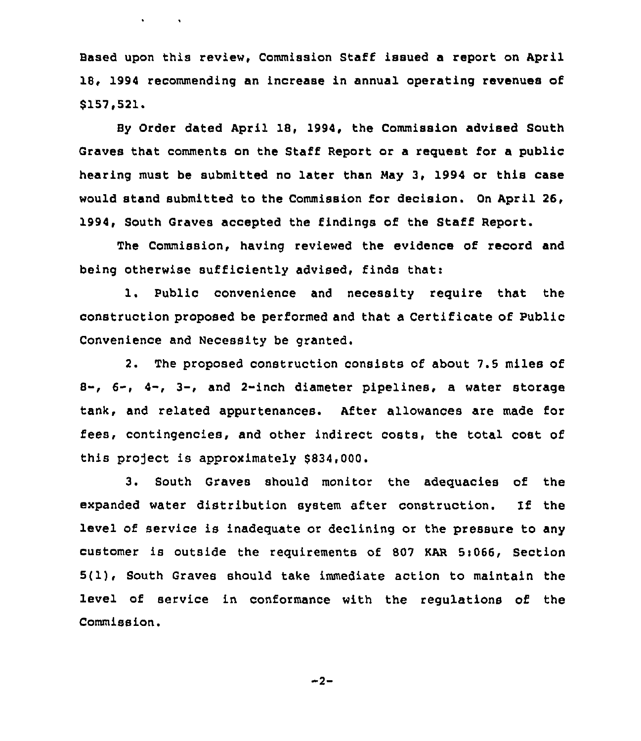Based upon this review, Commission Staff issued a report on April 18, 1994 recommending an increase in annual operating revenues of \$157,521.

 $\mathbf{v} = \mathbf{v} \times \mathbf{v}$  ,  $\mathbf{v} = \mathbf{v} \times \mathbf{v}$ 

Sy Order dated April 18, 1994, the Commission advised South Graves that comments on the Staff Report or a request for a public hearing must be submitted no later than May 3, 1994 or this case would stand submitted to the Commission for decision. On April 26, 1994, South Graves accepted the findings of the Staff Report.

The Commission, having reviewed the evidence of record and being otherwise sufficiently advised, finds that:

1. Public convenience and necessity require that the construction proposed be performed and that a Certificate of Public Convenience and Necessity be granted.

2. The proposed construction consists of about 7.5 miles of 8-, 6-, 4-, 3-, and 2-inch diameter pipelines, a water storage tank, and related appurtenances. After allowances are made for fees, contingencies, and other indirect costs, the total cost of this project is approximately \$834,000.

3. South Graves should monitor the adequacies of the expanded water distribution system after construction. If the level of service is inadequate or declining or the pressure to any customer is outside the requirements of 807 KAR 5:066, Section 5(1), South Graves should take immediate action to maintain the level of service in conformance with the regulations of the Commission.

 $-2-$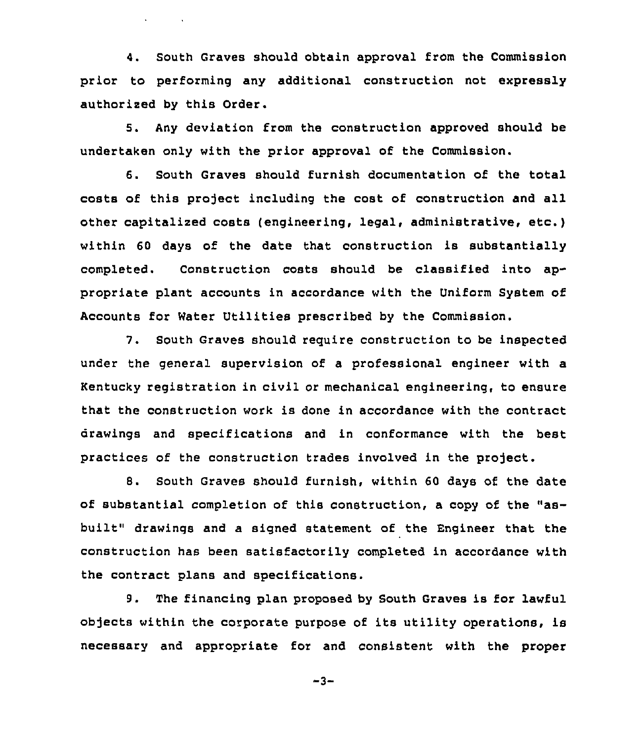4. South Graves should obtain approval from the Commission prior to performing any additional construction not expressly authorized by this Order.

5. Any deviation from the construction approved should be undertaken only with the prior approval of the Commission.

6. South Graves should furnish documentation of the total costs of this project including the cost of construction and all other capitalized costs (engineering, legal< administrative< etc.) within 60 days of the date that construction is substantially completed. Construction costs should be classified into appropriate plant accounts in accordance with the Uniform System of Accounts for Water Utilities prescribed by the Commission.

7. South Graves should require construction to be inspected under the general supervision of a professional engineer with a Kentucky registration in civil or mechanical engineering, to ensure that the construction work is done in accordance with the contract drawings and specifications and in conformance with the best practices of the construction trades involved in the project.

8. South Graves should furnish, within 60 days of the date of substantial completion of this construction, <sup>a</sup> copy of the "asbuilt" drawings and a signed statement of the Engineer that the construction has been satisfactorily completed in accordance with the contract plans and specifications.

9. The financing plan proposed by South Graves is for lawful objects within the corporate purpose of its utility operations, is necessary and appropriate for and consistent with the proper

 $-3-$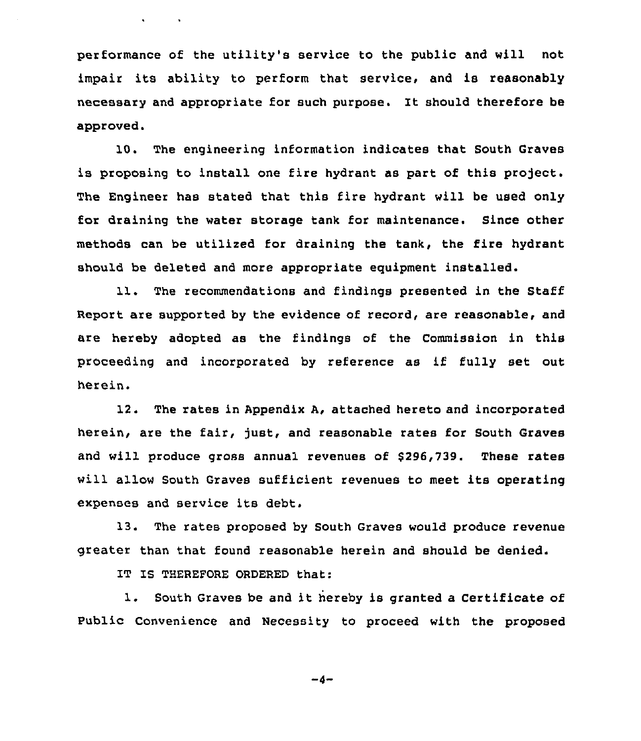performance of the utility's service to the public and will not impair its ability to perform that service, and is reasonably necessary and appropriate for such purpose. It should therefore be approved.

10. The engineering information indicates that South Graves is proposing to install one fire hydrant as part of this project. The Engineer has stated that this fire hydrant will be used only for draining the water storage tank for maintenance. Since other methods can be utilized for draining the tank, the fire hydrant should be deleted and more appropriate equipment installed.

11. The recommendations and findings presented in the Staff Report are supported by the evidence of record, are reasonable, and are hereby adopted as the findings of the Commission in this proceeding and incorporated by reference as if fully set out herein.

12. The rates in Appendix A, attached hereto and incorporated herein, are the fair, just, and reasonable rates for South Graves and will produce gross annual revenues of S296,739. These rates will allow South Graves sufficient revenues to meet its operating expenses and service its debt.

13. The rates proposed by South Graves would produce revenue greater than that found reasonable herein and should be denied.

IT IS THEREFORE ORDERED that:

1. South Graves be and it hereby is granted <sup>a</sup> Certificate of Public Convenience and Necessity to proceed with the proposed

 $-4-$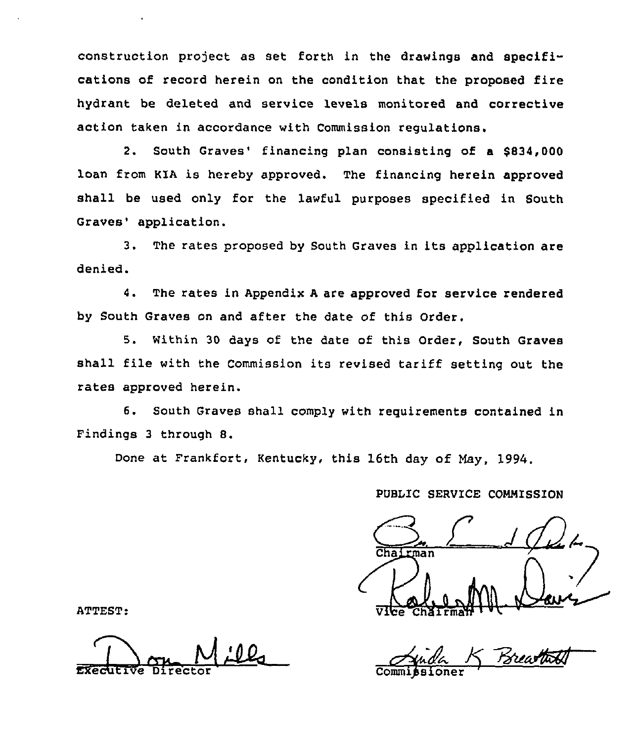construction project as set forth in the drawings and specifications of record herein on the condition that the proposed fire hydrant be deleted and service levels monitored and corrective action taken in accordance with Commission regulations.

2. South Graves' financing plan consisting of a \$834,000 loan from KIA is hereby approved. The financing herein approved shall be used only for the lawful purposes specified in South Graves' application.

3. The rates proposed by South Graves in its application are denied.

4. The rates in Appendix <sup>A</sup> are approved for service rendered by South Graves on and after the date of this Order.

5. Within 30 days of the date of this Order, South Graves shall file with the Commission its revised tariff setting out the rates approved herein.

6. South Graves shall comply with requirements contained in Findings <sup>3</sup> through 8.

Done at Frankfort, Kentucky, this 16th day of May, 1994.

PUBLIC SERVICE COMMISSION

tman ATTEST: Vilce ChSirmNt <sup>~</sup> '

Executive Director Commissione